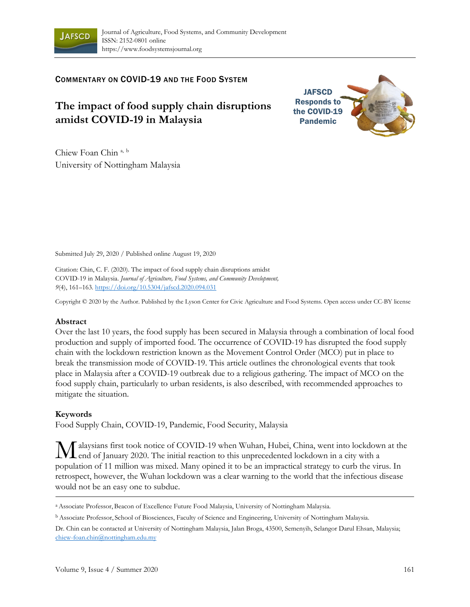

COMMENTARY ON COVID-19 AND THE FOOD SYSTEM

# **The impact of food supply chain disruptions amidst COVID-19 in Malaysia**



Chiew Foan Chin<sup>a, b</sup> University of Nottingham Malaysia

Submitted July 29, 2020 / Published online August 19, 2020

Citation: Chin, C. F. (2020). The impact of food supply chain disruptions amidst COVID-19 in Malaysia. *Journal of Agriculture, Food Systems, and Community Development, 9*(4), 161–163. https://doi.org/10.5304/jafscd.2020.094.031

Copyright © 2020 by the Author. Published by the Lyson Center for Civic Agriculture and Food Systems. Open access under CC-BY license

## **Abstract**

Over the last 10 years, the food supply has been secured in Malaysia through a combination of local food production and supply of imported food. The occurrence of COVID-19 has disrupted the food supply chain with the lockdown restriction known as the Movement Control Order (MCO) put in place to break the transmission mode of COVID-19. This article outlines the chronological events that took place in Malaysia after a COVID-19 outbreak due to a religious gathering. The impact of MCO on the food supply chain, particularly to urban residents, is also described, with recommended approaches to mitigate the situation.

## **Keywords**

Food Supply Chain, COVID-19, Pandemic, Food Security, Malaysia

alaysians first took notice of COVID-19 when Wuhan, Hubei, China, went into lockdown at the M alaysians first took notice of COVID-19 when Wuhan, Hubei, China, went into lockdown<br>end of January 2020. The initial reaction to this unprecedented lockdown in a city with a population of 11 million was mixed. Many opined it to be an impractical strategy to curb the virus. In retrospect, however, the Wuhan lockdown was a clear warning to the world that the infectious disease would not be an easy one to subdue.

a Associate Professor, Beacon of Excellence Future Food Malaysia, University of Nottingham Malaysia.

b Associate Professor, School of Biosciences, Faculty of Science and Engineering, University of Nottingham Malaysia.

Dr. Chin can be contacted at University of Nottingham Malaysia, Jalan Broga, 43500, Semenyih, Selangor Darul Ehsan, Malaysia; chiew-foan.chin@nottingham.edu.my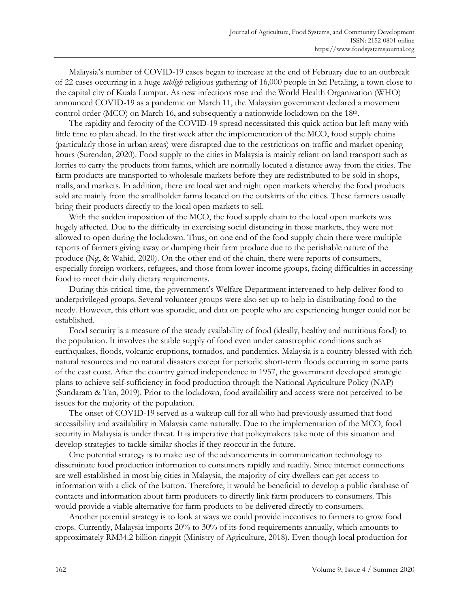Malaysia's number of COVID-19 cases began to increase at the end of February due to an outbreak of 22 cases occurring in a huge *tabligh* religious gathering of 16,000 people in Sri Petaling, a town close to the capital city of Kuala Lumpur. As new infections rose and the World Health Organization (WHO) announced COVID-19 as a pandemic on March 11, the Malaysian government declared a movement control order (MCO) on March 16, and subsequently a nationwide lockdown on the 18th.

 The rapidity and ferocity of the COVID-19 spread necessitated this quick action but left many with little time to plan ahead. In the first week after the implementation of the MCO, food supply chains (particularly those in urban areas) were disrupted due to the restrictions on traffic and market opening hours (Surendan, 2020). Food supply to the cities in Malaysia is mainly reliant on land transport such as lorries to carry the products from farms, which are normally located a distance away from the cities. The farm products are transported to wholesale markets before they are redistributed to be sold in shops, malls, and markets. In addition, there are local wet and night open markets whereby the food products sold are mainly from the smallholder farms located on the outskirts of the cities. These farmers usually bring their products directly to the local open markets to sell.

 With the sudden imposition of the MCO, the food supply chain to the local open markets was hugely affected. Due to the difficulty in exercising social distancing in those markets, they were not allowed to open during the lockdown. Thus, on one end of the food supply chain there were multiple reports of farmers giving away or dumping their farm produce due to the perishable nature of the produce (Ng, & Wahid, 2020). On the other end of the chain, there were reports of consumers, especially foreign workers, refugees, and those from lower-income groups, facing difficulties in accessing food to meet their daily dietary requirements.

 During this critical time, the government's Welfare Department intervened to help deliver food to underprivileged groups. Several volunteer groups were also set up to help in distributing food to the needy. However, this effort was sporadic, and data on people who are experiencing hunger could not be established.

 Food security is a measure of the steady availability of food (ideally, healthy and nutritious food) to the population. It involves the stable supply of food even under catastrophic conditions such as earthquakes, floods, volcanic eruptions, tornados, and pandemics. Malaysia is a country blessed with rich natural resources and no natural disasters except for periodic short-term floods occurring in some parts of the east coast. After the country gained independence in 1957, the government developed strategic plans to achieve self-sufficiency in food production through the National Agriculture Policy (NAP) (Sundaram & Tan, 2019). Prior to the lockdown, food availability and access were not perceived to be issues for the majority of the population.

 The onset of COVID-19 served as a wakeup call for all who had previously assumed that food accessibility and availability in Malaysia came naturally. Due to the implementation of the MCO, food security in Malaysia is under threat. It is imperative that policymakers take note of this situation and develop strategies to tackle similar shocks if they reoccur in the future.

 One potential strategy is to make use of the advancements in communication technology to disseminate food production information to consumers rapidly and readily. Since internet connections are well established in most big cities in Malaysia, the majority of city dwellers can get access to information with a click of the button. Therefore, it would be beneficial to develop a public database of contacts and information about farm producers to directly link farm producers to consumers. This would provide a viable alternative for farm products to be delivered directly to consumers.

 Another potential strategy is to look at ways we could provide incentives to farmers to grow food crops. Currently, Malaysia imports 20% to 30% of its food requirements annually, which amounts to approximately RM34.2 billion ringgit (Ministry of Agriculture, 2018). Even though local production for